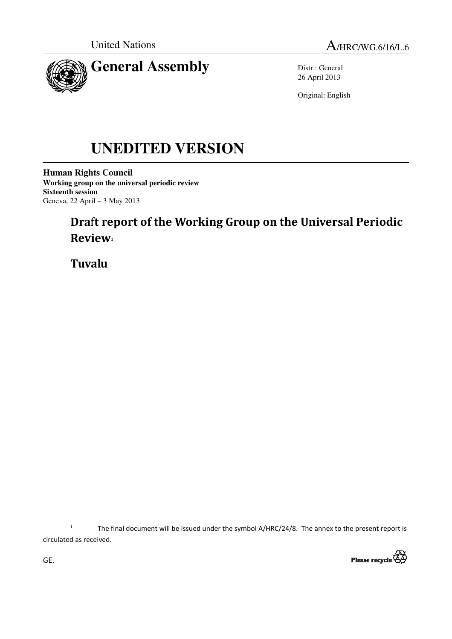



Distr.: General 26 April 2013

Original: English

# **UNEDITED VERSION**

**Human Rights Council Working group on the universal periodic review Sixteenth session**  Geneva, 22 April – 3 May 2013

## Draft report of the Working Group on the Universal Periodic Review<sub>1</sub>

Tuvalu

<sup>1</sup> The final document will be issued under the symbol A/HRC/24/8. The annex to the present report is circulated as received.



l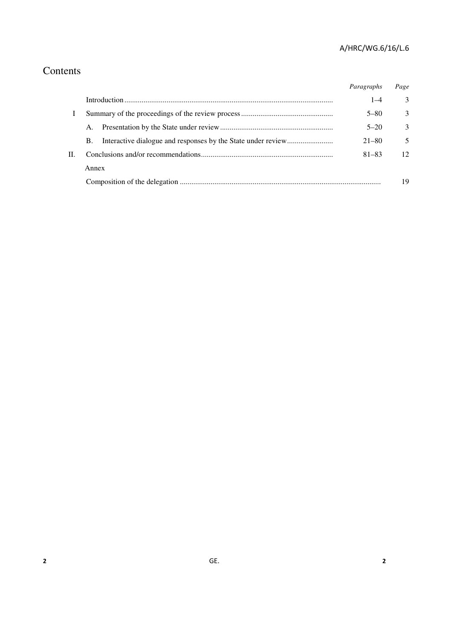## Contents

|    |       | Paragraphs | Page |
|----|-------|------------|------|
|    |       | $1 - 4$    | 3    |
|    |       | $5 - 80$   | 3    |
| H. | A.    | $5 - 20$   | 3    |
|    | B.    | $21 - 80$  | 5    |
|    |       | $81 - 83$  | 12   |
|    | Annex |            |      |
|    |       |            | 19   |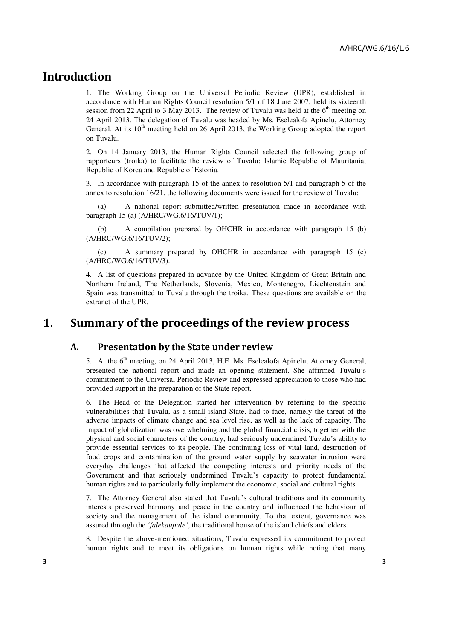### Introduction

1. The Working Group on the Universal Periodic Review (UPR), established in accordance with Human Rights Council resolution 5/1 of 18 June 2007, held its sixteenth session from 22 April to 3 May 2013. The review of Tuvalu was held at the  $6<sup>th</sup>$  meeting on 24 April 2013. The delegation of Tuvalu was headed by Ms. Eselealofa Apinelu, Attorney General. At its  $10<sup>th</sup>$  meeting held on 26 April 2013, the Working Group adopted the report on Tuvalu.

2. On 14 January 2013, the Human Rights Council selected the following group of rapporteurs (troika) to facilitate the review of Tuvalu: Islamic Republic of Mauritania, Republic of Korea and Republic of Estonia.

3. In accordance with paragraph 15 of the annex to resolution 5/1 and paragraph 5 of the annex to resolution 16/21, the following documents were issued for the review of Tuvalu:

 (a) A national report submitted/written presentation made in accordance with paragraph 15 (a) (A/HRC/WG.6/16/TUV/1);

 (b) A compilation prepared by OHCHR in accordance with paragraph 15 (b) (A/HRC/WG.6/16/TUV/2);

 (c) A summary prepared by OHCHR in accordance with paragraph 15 (c) (A/HRC/WG.6/16/TUV/3).

4. A list of questions prepared in advance by the United Kingdom of Great Britain and Northern Ireland, The Netherlands, Slovenia, Mexico, Montenegro, Liechtenstein and Spain was transmitted to Tuvalu through the troika. These questions are available on the extranet of the UPR.

## 1. Summary of the proceedings of the review process

#### A. Presentation by **the** State under review

5. At the 6<sup>th</sup> meeting, on 24 April 2013, H.E. Ms. Eselealofa Apinelu, Attorney General, presented the national report and made an opening statement. She affirmed Tuvalu's commitment to the Universal Periodic Review and expressed appreciation to those who had provided support in the preparation of the State report.

6. The Head of the Delegation started her intervention by referring to the specific vulnerabilities that Tuvalu, as a small island State, had to face, namely the threat of the adverse impacts of climate change and sea level rise, as well as the lack of capacity. The impact of globalization was overwhelming and the global financial crisis, together with the physical and social characters of the country, had seriously undermined Tuvalu's ability to provide essential services to its people. The continuing loss of vital land, destruction of food crops and contamination of the ground water supply by seawater intrusion were everyday challenges that affected the competing interests and priority needs of the Government and that seriously undermined Tuvalu's capacity to protect fundamental human rights and to particularly fully implement the economic, social and cultural rights.

7. The Attorney General also stated that Tuvalu's cultural traditions and its community interests preserved harmony and peace in the country and influenced the behaviour of society and the management of the island community. To that extent, governance was assured through the *'falekaupule'*, the traditional house of the island chiefs and elders.

8. Despite the above-mentioned situations, Tuvalu expressed its commitment to protect human rights and to meet its obligations on human rights while noting that many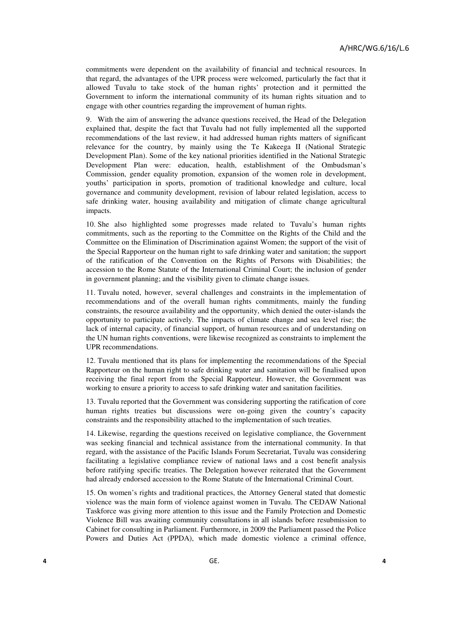commitments were dependent on the availability of financial and technical resources. In that regard, the advantages of the UPR process were welcomed, particularly the fact that it allowed Tuvalu to take stock of the human rights' protection and it permitted the Government to inform the international community of its human rights situation and to engage with other countries regarding the improvement of human rights.

9. With the aim of answering the advance questions received, the Head of the Delegation explained that, despite the fact that Tuvalu had not fully implemented all the supported recommendations of the last review, it had addressed human rights matters of significant relevance for the country, by mainly using the Te Kakeega II (National Strategic Development Plan). Some of the key national priorities identified in the National Strategic Development Plan were: education, health, establishment of the Ombudsman's Commission, gender equality promotion, expansion of the women role in development, youths' participation in sports, promotion of traditional knowledge and culture, local governance and community development, revision of labour related legislation, access to safe drinking water, housing availability and mitigation of climate change agricultural impacts.

10. She also highlighted some progresses made related to Tuvalu's human rights commitments, such as the reporting to the Committee on the Rights of the Child and the Committee on the Elimination of Discrimination against Women; the support of the visit of the Special Rapporteur on the human right to safe drinking water and sanitation; the support of the ratification of the Convention on the Rights of Persons with Disabilities; the accession to the Rome Statute of the International Criminal Court; the inclusion of gender in government planning; and the visibility given to climate change issues.

11. Tuvalu noted, however, several challenges and constraints in the implementation of recommendations and of the overall human rights commitments, mainly the funding constraints, the resource availability and the opportunity, which denied the outer-islands the opportunity to participate actively. The impacts of climate change and sea level rise; the lack of internal capacity, of financial support, of human resources and of understanding on the UN human rights conventions, were likewise recognized as constraints to implement the UPR recommendations.

12. Tuvalu mentioned that its plans for implementing the recommendations of the Special Rapporteur on the human right to safe drinking water and sanitation will be finalised upon receiving the final report from the Special Rapporteur. However, the Government was working to ensure a priority to access to safe drinking water and sanitation facilities.

13. Tuvalu reported that the Government was considering supporting the ratification of core human rights treaties but discussions were on-going given the country's capacity constraints and the responsibility attached to the implementation of such treaties.

14. Likewise, regarding the questions received on legislative compliance, the Government was seeking financial and technical assistance from the international community. In that regard, with the assistance of the Pacific Islands Forum Secretariat, Tuvalu was considering facilitating a legislative compliance review of national laws and a cost benefit analysis before ratifying specific treaties. The Delegation however reiterated that the Government had already endorsed accession to the Rome Statute of the International Criminal Court.

15. On women's rights and traditional practices, the Attorney General stated that domestic violence was the main form of violence against women in Tuvalu. The CEDAW National Taskforce was giving more attention to this issue and the Family Protection and Domestic Violence Bill was awaiting community consultations in all islands before resubmission to Cabinet for consulting in Parliament. Furthermore, in 2009 the Parliament passed the Police Powers and Duties Act (PPDA), which made domestic violence a criminal offence,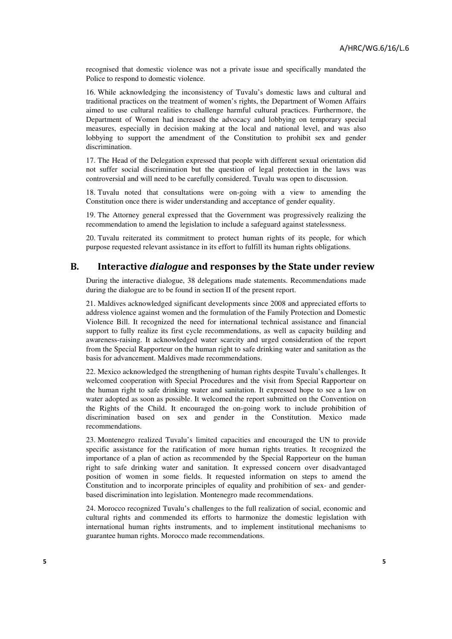recognised that domestic violence was not a private issue and specifically mandated the Police to respond to domestic violence.

16. While acknowledging the inconsistency of Tuvalu's domestic laws and cultural and traditional practices on the treatment of women's rights, the Department of Women Affairs aimed to use cultural realities to challenge harmful cultural practices. Furthermore, the Department of Women had increased the advocacy and lobbying on temporary special measures, especially in decision making at the local and national level, and was also lobbying to support the amendment of the Constitution to prohibit sex and gender discrimination.

17. The Head of the Delegation expressed that people with different sexual orientation did not suffer social discrimination but the question of legal protection in the laws was controversial and will need to be carefully considered. Tuvalu was open to discussion.

18. Tuvalu noted that consultations were on-going with a view to amending the Constitution once there is wider understanding and acceptance of gender equality.

19. The Attorney general expressed that the Government was progressively realizing the recommendation to amend the legislation to include a safeguard against statelessness.

20. Tuvalu reiterated its commitment to protect human rights of its people, for which purpose requested relevant assistance in its effort to fulfill its human rights obligations.

#### B. Interactive dialogue and responses by the State under review

During the interactive dialogue, 38 delegations made statements. Recommendations made during the dialogue are to be found in section II of the present report.

21. Maldives acknowledged significant developments since 2008 and appreciated efforts to address violence against women and the formulation of the Family Protection and Domestic Violence Bill. It recognized the need for international technical assistance and financial support to fully realize its first cycle recommendations, as well as capacity building and awareness-raising. It acknowledged water scarcity and urged consideration of the report from the Special Rapporteur on the human right to safe drinking water and sanitation as the basis for advancement. Maldives made recommendations.

22. Mexico acknowledged the strengthening of human rights despite Tuvalu's challenges. It welcomed cooperation with Special Procedures and the visit from Special Rapporteur on the human right to safe drinking water and sanitation. It expressed hope to see a law on water adopted as soon as possible. It welcomed the report submitted on the Convention on the Rights of the Child. It encouraged the on-going work to include prohibition of discrimination based on sex and gender in the Constitution. Mexico made recommendations.

23. Montenegro realized Tuvalu's limited capacities and encouraged the UN to provide specific assistance for the ratification of more human rights treaties. It recognized the importance of a plan of action as recommended by the Special Rapporteur on the human right to safe drinking water and sanitation. It expressed concern over disadvantaged position of women in some fields. It requested information on steps to amend the Constitution and to incorporate principles of equality and prohibition of sex- and genderbased discrimination into legislation. Montenegro made recommendations.

24. Morocco recognized Tuvalu's challenges to the full realization of social, economic and cultural rights and commended its efforts to harmonize the domestic legislation with international human rights instruments, and to implement institutional mechanisms to guarantee human rights. Morocco made recommendations.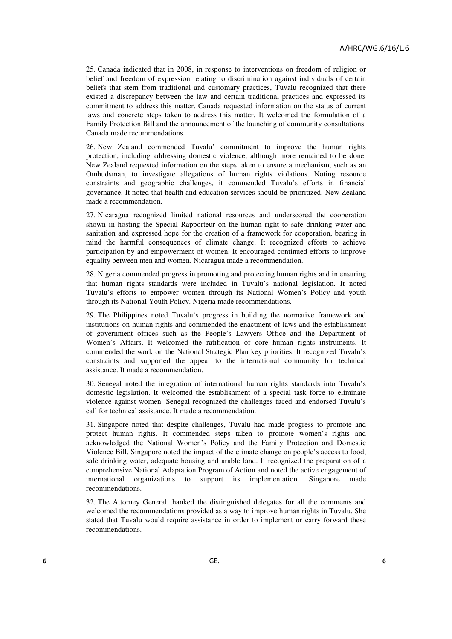25. Canada indicated that in 2008, in response to interventions on freedom of religion or belief and freedom of expression relating to discrimination against individuals of certain beliefs that stem from traditional and customary practices, Tuvalu recognized that there existed a discrepancy between the law and certain traditional practices and expressed its commitment to address this matter. Canada requested information on the status of current laws and concrete steps taken to address this matter. It welcomed the formulation of a Family Protection Bill and the announcement of the launching of community consultations. Canada made recommendations.

26. New Zealand commended Tuvalu' commitment to improve the human rights protection, including addressing domestic violence, although more remained to be done. New Zealand requested information on the steps taken to ensure a mechanism, such as an Ombudsman, to investigate allegations of human rights violations. Noting resource constraints and geographic challenges, it commended Tuvalu's efforts in financial governance. It noted that health and education services should be prioritized. New Zealand made a recommendation.

27. Nicaragua recognized limited national resources and underscored the cooperation shown in hosting the Special Rapporteur on the human right to safe drinking water and sanitation and expressed hope for the creation of a framework for cooperation, bearing in mind the harmful consequences of climate change. It recognized efforts to achieve participation by and empowerment of women. It encouraged continued efforts to improve equality between men and women. Nicaragua made a recommendation.

28. Nigeria commended progress in promoting and protecting human rights and in ensuring that human rights standards were included in Tuvalu's national legislation. It noted Tuvalu's efforts to empower women through its National Women's Policy and youth through its National Youth Policy. Nigeria made recommendations.

29. The Philippines noted Tuvalu's progress in building the normative framework and institutions on human rights and commended the enactment of laws and the establishment of government offices such as the People's Lawyers Office and the Department of Women's Affairs. It welcomed the ratification of core human rights instruments. It commended the work on the National Strategic Plan key priorities. It recognized Tuvalu's constraints and supported the appeal to the international community for technical assistance. It made a recommendation.

30. Senegal noted the integration of international human rights standards into Tuvalu's domestic legislation. It welcomed the establishment of a special task force to eliminate violence against women. Senegal recognized the challenges faced and endorsed Tuvalu's call for technical assistance. It made a recommendation.

31. Singapore noted that despite challenges, Tuvalu had made progress to promote and protect human rights. It commended steps taken to promote women's rights and acknowledged the National Women's Policy and the Family Protection and Domestic Violence Bill. Singapore noted the impact of the climate change on people's access to food, safe drinking water, adequate housing and arable land. It recognized the preparation of a comprehensive National Adaptation Program of Action and noted the active engagement of international organizations to support its implementation. Singapore made recommendations.

32. The Attorney General thanked the distinguished delegates for all the comments and welcomed the recommendations provided as a way to improve human rights in Tuvalu. She stated that Tuvalu would require assistance in order to implement or carry forward these recommendations.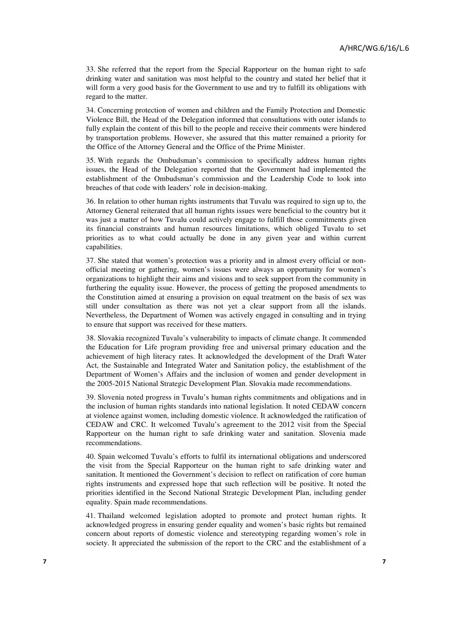33. She referred that the report from the Special Rapporteur on the human right to safe drinking water and sanitation was most helpful to the country and stated her belief that it will form a very good basis for the Government to use and try to fulfill its obligations with regard to the matter.

34. Concerning protection of women and children and the Family Protection and Domestic Violence Bill, the Head of the Delegation informed that consultations with outer islands to fully explain the content of this bill to the people and receive their comments were hindered by transportation problems. However, she assured that this matter remained a priority for the Office of the Attorney General and the Office of the Prime Minister.

35. With regards the Ombudsman's commission to specifically address human rights issues, the Head of the Delegation reported that the Government had implemented the establishment of the Ombudsman's commission and the Leadership Code to look into breaches of that code with leaders' role in decision-making.

36. In relation to other human rights instruments that Tuvalu was required to sign up to, the Attorney General reiterated that all human rights issues were beneficial to the country but it was just a matter of how Tuvalu could actively engage to fulfill those commitments given its financial constraints and human resources limitations, which obliged Tuvalu to set priorities as to what could actually be done in any given year and within current capabilities.

37. She stated that women's protection was a priority and in almost every official or nonofficial meeting or gathering, women's issues were always an opportunity for women's organizations to highlight their aims and visions and to seek support from the community in furthering the equality issue. However, the process of getting the proposed amendments to the Constitution aimed at ensuring a provision on equal treatment on the basis of sex was still under consultation as there was not yet a clear support from all the islands. Nevertheless, the Department of Women was actively engaged in consulting and in trying to ensure that support was received for these matters.

38. Slovakia recognized Tuvalu's vulnerability to impacts of climate change. It commended the Education for Life program providing free and universal primary education and the achievement of high literacy rates. It acknowledged the development of the Draft Water Act, the Sustainable and Integrated Water and Sanitation policy, the establishment of the Department of Women's Affairs and the inclusion of women and gender development in the 2005-2015 National Strategic Development Plan. Slovakia made recommendations.

39. Slovenia noted progress in Tuvalu's human rights commitments and obligations and in the inclusion of human rights standards into national legislation. It noted CEDAW concern at violence against women, including domestic violence. It acknowledged the ratification of CEDAW and CRC. It welcomed Tuvalu's agreement to the 2012 visit from the Special Rapporteur on the human right to safe drinking water and sanitation. Slovenia made recommendations.

40. Spain welcomed Tuvalu's efforts to fulfil its international obligations and underscored the visit from the Special Rapporteur on the human right to safe drinking water and sanitation. It mentioned the Government's decision to reflect on ratification of core human rights instruments and expressed hope that such reflection will be positive. It noted the priorities identified in the Second National Strategic Development Plan, including gender equality. Spain made recommendations.

41. Thailand welcomed legislation adopted to promote and protect human rights. It acknowledged progress in ensuring gender equality and women's basic rights but remained concern about reports of domestic violence and stereotyping regarding women's role in society. It appreciated the submission of the report to the CRC and the establishment of a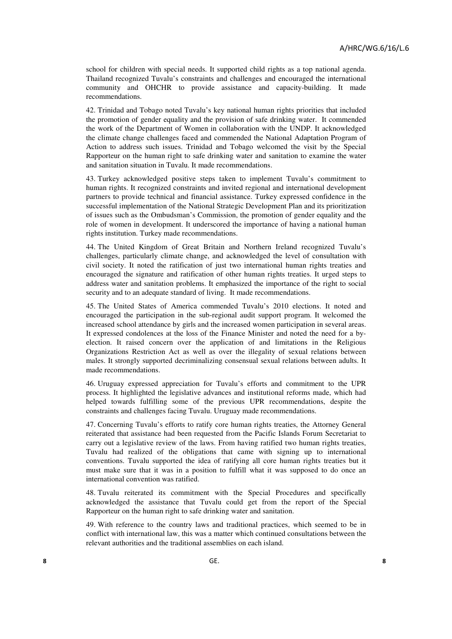school for children with special needs. It supported child rights as a top national agenda. Thailand recognized Tuvalu's constraints and challenges and encouraged the international community and OHCHR to provide assistance and capacity-building. It made recommendations.

42. Trinidad and Tobago noted Tuvalu's key national human rights priorities that included the promotion of gender equality and the provision of safe drinking water. It commended the work of the Department of Women in collaboration with the UNDP. It acknowledged the climate change challenges faced and commended the National Adaptation Program of Action to address such issues. Trinidad and Tobago welcomed the visit by the Special Rapporteur on the human right to safe drinking water and sanitation to examine the water and sanitation situation in Tuvalu. It made recommendations.

43. Turkey acknowledged positive steps taken to implement Tuvalu's commitment to human rights. It recognized constraints and invited regional and international development partners to provide technical and financial assistance. Turkey expressed confidence in the successful implementation of the National Strategic Development Plan and its prioritization of issues such as the Ombudsman's Commission, the promotion of gender equality and the role of women in development. It underscored the importance of having a national human rights institution. Turkey made recommendations.

44. The United Kingdom of Great Britain and Northern Ireland recognized Tuvalu's challenges, particularly climate change, and acknowledged the level of consultation with civil society. It noted the ratification of just two international human rights treaties and encouraged the signature and ratification of other human rights treaties. It urged steps to address water and sanitation problems. It emphasized the importance of the right to social security and to an adequate standard of living. It made recommendations.

45. The United States of America commended Tuvalu's 2010 elections. It noted and encouraged the participation in the sub-regional audit support program. It welcomed the increased school attendance by girls and the increased women participation in several areas. It expressed condolences at the loss of the Finance Minister and noted the need for a byelection. It raised concern over the application of and limitations in the Religious Organizations Restriction Act as well as over the illegality of sexual relations between males. It strongly supported decriminalizing consensual sexual relations between adults. It made recommendations.

46. Uruguay expressed appreciation for Tuvalu's efforts and commitment to the UPR process. It highlighted the legislative advances and institutional reforms made, which had helped towards fulfilling some of the previous UPR recommendations, despite the constraints and challenges facing Tuvalu. Uruguay made recommendations.

47. Concerning Tuvalu's efforts to ratify core human rights treaties, the Attorney General reiterated that assistance had been requested from the Pacific Islands Forum Secretariat to carry out a legislative review of the laws. From having ratified two human rights treaties, Tuvalu had realized of the obligations that came with signing up to international conventions. Tuvalu supported the idea of ratifying all core human rights treaties but it must make sure that it was in a position to fulfill what it was supposed to do once an international convention was ratified.

48. Tuvalu reiterated its commitment with the Special Procedures and specifically acknowledged the assistance that Tuvalu could get from the report of the Special Rapporteur on the human right to safe drinking water and sanitation.

49. With reference to the country laws and traditional practices, which seemed to be in conflict with international law, this was a matter which continued consultations between the relevant authorities and the traditional assemblies on each island.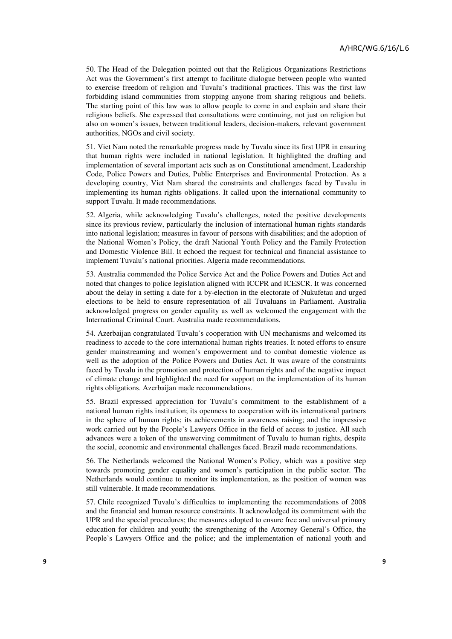50. The Head of the Delegation pointed out that the Religious Organizations Restrictions Act was the Government's first attempt to facilitate dialogue between people who wanted to exercise freedom of religion and Tuvalu's traditional practices. This was the first law forbidding island communities from stopping anyone from sharing religious and beliefs. The starting point of this law was to allow people to come in and explain and share their religious beliefs. She expressed that consultations were continuing, not just on religion but also on women's issues, between traditional leaders, decision-makers, relevant government authorities, NGOs and civil society.

51. Viet Nam noted the remarkable progress made by Tuvalu since its first UPR in ensuring that human rights were included in national legislation. It highlighted the drafting and implementation of several important acts such as on Constitutional amendment, Leadership Code, Police Powers and Duties, Public Enterprises and Environmental Protection. As a developing country, Viet Nam shared the constraints and challenges faced by Tuvalu in implementing its human rights obligations. It called upon the international community to support Tuvalu. It made recommendations.

52. Algeria, while acknowledging Tuvalu's challenges, noted the positive developments since its previous review, particularly the inclusion of international human rights standards into national legislation; measures in favour of persons with disabilities; and the adoption of the National Women's Policy, the draft National Youth Policy and the Family Protection and Domestic Violence Bill. It echoed the request for technical and financial assistance to implement Tuvalu's national priorities. Algeria made recommendations.

53. Australia commended the Police Service Act and the Police Powers and Duties Act and noted that changes to police legislation aligned with ICCPR and ICESCR. It was concerned about the delay in setting a date for a by-election in the electorate of Nukufetau and urged elections to be held to ensure representation of all Tuvaluans in Parliament. Australia acknowledged progress on gender equality as well as welcomed the engagement with the International Criminal Court. Australia made recommendations.

54. Azerbaijan congratulated Tuvalu's cooperation with UN mechanisms and welcomed its readiness to accede to the core international human rights treaties. It noted efforts to ensure gender mainstreaming and women's empowerment and to combat domestic violence as well as the adoption of the Police Powers and Duties Act. It was aware of the constraints faced by Tuvalu in the promotion and protection of human rights and of the negative impact of climate change and highlighted the need for support on the implementation of its human rights obligations. Azerbaijan made recommendations.

55. Brazil expressed appreciation for Tuvalu's commitment to the establishment of a national human rights institution; its openness to cooperation with its international partners in the sphere of human rights; its achievements in awareness raising; and the impressive work carried out by the People's Lawyers Office in the field of access to justice. All such advances were a token of the unswerving commitment of Tuvalu to human rights, despite the social, economic and environmental challenges faced. Brazil made recommendations.

56. The Netherlands welcomed the National Women's Policy, which was a positive step towards promoting gender equality and women's participation in the public sector. The Netherlands would continue to monitor its implementation, as the position of women was still vulnerable. It made recommendations.

57. Chile recognized Tuvalu's difficulties to implementing the recommendations of 2008 and the financial and human resource constraints. It acknowledged its commitment with the UPR and the special procedures; the measures adopted to ensure free and universal primary education for children and youth; the strengthening of the Attorney General's Office, the People's Lawyers Office and the police; and the implementation of national youth and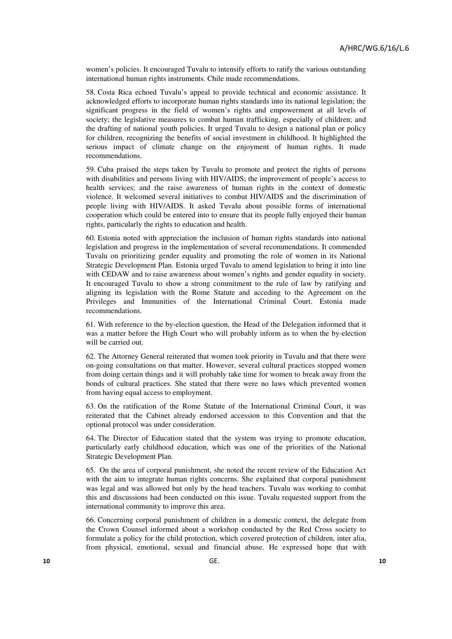women's policies. It encouraged Tuvalu to intensify efforts to ratify the various outstanding international human rights instruments. Chile made recommendations.

58. Costa Rica echoed Tuvalu's appeal to provide technical and economic assistance. It acknowledged efforts to incorporate human rights standards into its national legislation; the significant progress in the field of women's rights and empowerment at all levels of society; the legislative measures to combat human trafficking, especially of children; and the drafting of national youth policies. It urged Tuvalu to design a national plan or policy for children, recognizing the benefits of social investment in childhood. It highlighted the serious impact of climate change on the enjoyment of human rights. It made recommendations.

59. Cuba praised the steps taken by Tuvalu to promote and protect the rights of persons with disabilities and persons living with HIV/AIDS; the improvement of people's access to health services; and the raise awareness of human rights in the context of domestic violence. It welcomed several initiatives to combat HIV/AIDS and the discrimination of people living with HIV/AIDS. It asked Tuvalu about possible forms of international cooperation which could be entered into to ensure that its people fully enjoyed their human rights, particularly the rights to education and health.

60. Estonia noted with appreciation the inclusion of human rights standards into national legislation and progress in the implementation of several recommendations. It commended Tuvalu on prioritizing gender equality and promoting the role of women in its National Strategic Development Plan. Estonia urged Tuvalu to amend legislation to bring it into line with CEDAW and to raise awareness about women's rights and gender equality in society. It encouraged Tuvalu to show a strong commitment to the rule of law by ratifying and aligning its legislation with the Rome Statute and acceding to the Agreement on the Privileges and Immunities of the International Criminal Court. Estonia made recommendations.

61. With reference to the by-election question, the Head of the Delegation informed that it was a matter before the High Court who will probably inform as to when the by-election will be carried out.

62. The Attorney General reiterated that women took priority in Tuvalu and that there were on-going consultations on that matter. However, several cultural practices stopped women from doing certain things and it will probably take time for women to break away from the bonds of cultural practices. She stated that there were no laws which prevented women from having equal access to employment.

63. On the ratification of the Rome Statute of the International Criminal Court, it was reiterated that the Cabinet already endorsed accession to this Convention and that the optional protocol was under consideration.

64. The Director of Education stated that the system was trying to promote education, particularly early childhood education, which was one of the priorities of the National Strategic Development Plan.

65. On the area of corporal punishment, she noted the recent review of the Education Act with the aim to integrate human rights concerns. She explained that corporal punishment was legal and was allowed but only by the head teachers. Tuvalu was working to combat this and discussions had been conducted on this issue. Tuvalu requested support from the international community to improve this area.

66. Concerning corporal punishment of children in a domestic context, the delegate from the Crown Counsel informed about a workshop conducted by the Red Cross society to formulate a policy for the child protection, which covered protection of children, inter alia, from physical, emotional, sexual and financial abuse. He expressed hope that with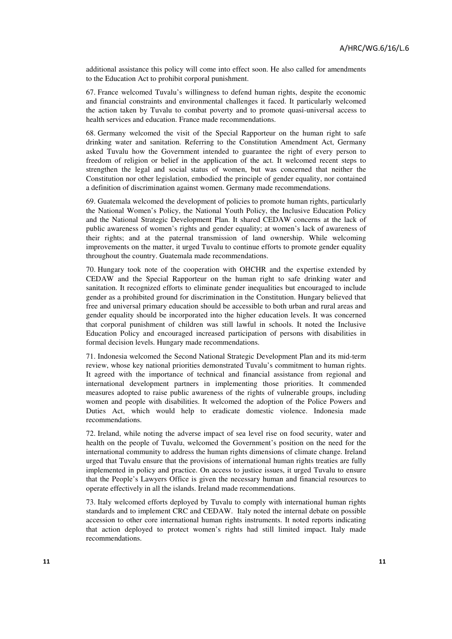additional assistance this policy will come into effect soon. He also called for amendments to the Education Act to prohibit corporal punishment.

67. France welcomed Tuvalu's willingness to defend human rights, despite the economic and financial constraints and environmental challenges it faced. It particularly welcomed the action taken by Tuvalu to combat poverty and to promote quasi-universal access to health services and education. France made recommendations.

68. Germany welcomed the visit of the Special Rapporteur on the human right to safe drinking water and sanitation. Referring to the Constitution Amendment Act, Germany asked Tuvalu how the Government intended to guarantee the right of every person to freedom of religion or belief in the application of the act. It welcomed recent steps to strengthen the legal and social status of women, but was concerned that neither the Constitution nor other legislation, embodied the principle of gender equality, nor contained a definition of discrimination against women. Germany made recommendations.

69. Guatemala welcomed the development of policies to promote human rights, particularly the National Women's Policy, the National Youth Policy, the Inclusive Education Policy and the National Strategic Development Plan. It shared CEDAW concerns at the lack of public awareness of women's rights and gender equality; at women's lack of awareness of their rights; and at the paternal transmission of land ownership. While welcoming improvements on the matter, it urged Tuvalu to continue efforts to promote gender equality throughout the country. Guatemala made recommendations.

70. Hungary took note of the cooperation with OHCHR and the expertise extended by CEDAW and the Special Rapporteur on the human right to safe drinking water and sanitation. It recognized efforts to eliminate gender inequalities but encouraged to include gender as a prohibited ground for discrimination in the Constitution. Hungary believed that free and universal primary education should be accessible to both urban and rural areas and gender equality should be incorporated into the higher education levels. It was concerned that corporal punishment of children was still lawful in schools. It noted the Inclusive Education Policy and encouraged increased participation of persons with disabilities in formal decision levels. Hungary made recommendations.

71. Indonesia welcomed the Second National Strategic Development Plan and its mid-term review, whose key national priorities demonstrated Tuvalu's commitment to human rights. It agreed with the importance of technical and financial assistance from regional and international development partners in implementing those priorities. It commended measures adopted to raise public awareness of the rights of vulnerable groups, including women and people with disabilities. It welcomed the adoption of the Police Powers and Duties Act, which would help to eradicate domestic violence. Indonesia made recommendations.

72. Ireland, while noting the adverse impact of sea level rise on food security, water and health on the people of Tuvalu, welcomed the Government's position on the need for the international community to address the human rights dimensions of climate change. Ireland urged that Tuvalu ensure that the provisions of international human rights treaties are fully implemented in policy and practice. On access to justice issues, it urged Tuvalu to ensure that the People's Lawyers Office is given the necessary human and financial resources to operate effectively in all the islands. Ireland made recommendations.

73. Italy welcomed efforts deployed by Tuvalu to comply with international human rights standards and to implement CRC and CEDAW. Italy noted the internal debate on possible accession to other core international human rights instruments. It noted reports indicating that action deployed to protect women's rights had still limited impact. Italy made recommendations.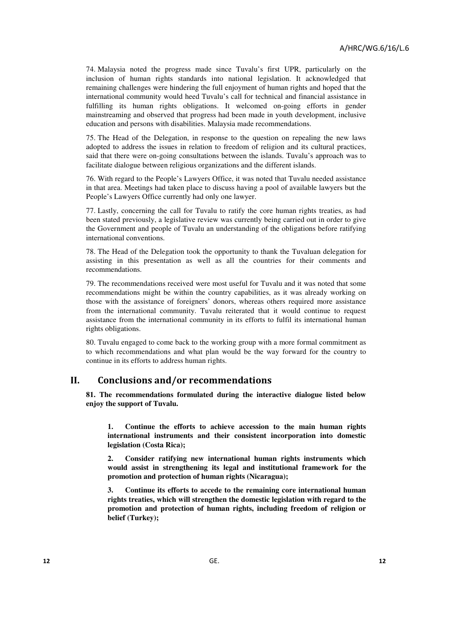74. Malaysia noted the progress made since Tuvalu's first UPR, particularly on the inclusion of human rights standards into national legislation. It acknowledged that remaining challenges were hindering the full enjoyment of human rights and hoped that the international community would heed Tuvalu's call for technical and financial assistance in fulfilling its human rights obligations. It welcomed on-going efforts in gender mainstreaming and observed that progress had been made in youth development, inclusive education and persons with disabilities. Malaysia made recommendations.

75. The Head of the Delegation, in response to the question on repealing the new laws adopted to address the issues in relation to freedom of religion and its cultural practices, said that there were on-going consultations between the islands. Tuvalu's approach was to facilitate dialogue between religious organizations and the different islands.

76. With regard to the People's Lawyers Office, it was noted that Tuvalu needed assistance in that area. Meetings had taken place to discuss having a pool of available lawyers but the People's Lawyers Office currently had only one lawyer.

77. Lastly, concerning the call for Tuvalu to ratify the core human rights treaties, as had been stated previously, a legislative review was currently being carried out in order to give the Government and people of Tuvalu an understanding of the obligations before ratifying international conventions.

78. The Head of the Delegation took the opportunity to thank the Tuvaluan delegation for assisting in this presentation as well as all the countries for their comments and recommendations.

79. The recommendations received were most useful for Tuvalu and it was noted that some recommendations might be within the country capabilities, as it was already working on those with the assistance of foreigners' donors, whereas others required more assistance from the international community. Tuvalu reiterated that it would continue to request assistance from the international community in its efforts to fulfil its international human rights obligations.

80. Tuvalu engaged to come back to the working group with a more formal commitment as to which recommendations and what plan would be the way forward for the country to continue in its efforts to address human rights.

#### II. Conclusions and/or recommendations

**81. The recommendations formulated during the interactive dialogue listed below enjoy the support of Tuvalu.** 

**1. Continue the efforts to achieve accession to the main human rights international instruments and their consistent incorporation into domestic legislation (Costa Rica);** 

**2. Consider ratifying new international human rights instruments which would assist in strengthening its legal and institutional framework for the promotion and protection of human rights (Nicaragua);** 

**3. Continue its efforts to accede to the remaining core international human rights treaties, which will strengthen the domestic legislation with regard to the promotion and protection of human rights, including freedom of religion or belief (Turkey);**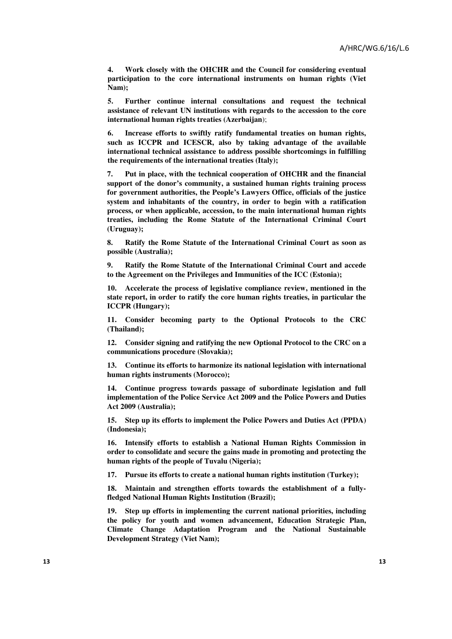**4. Work closely with the OHCHR and the Council for considering eventual participation to the core international instruments on human rights (Viet Nam);** 

**5. Further continue internal consultations and request the technical assistance of relevant UN institutions with regards to the accession to the core international human rights treaties (Azerbaijan**);

**6. Increase efforts to swiftly ratify fundamental treaties on human rights, such as ICCPR and ICESCR, also by taking advantage of the available international technical assistance to address possible shortcomings in fulfilling the requirements of the international treaties (Italy);** 

**7. Put in place, with the technical cooperation of OHCHR and the financial support of the donor's community, a sustained human rights training process for government authorities, the People's Lawyers Office, officials of the justice system and inhabitants of the country, in order to begin with a ratification process, or when applicable, accession, to the main international human rights treaties, including the Rome Statute of the International Criminal Court (Uruguay);** 

**8. Ratify the Rome Statute of the International Criminal Court as soon as possible (Australia);** 

**9. Ratify the Rome Statute of the International Criminal Court and accede to the Agreement on the Privileges and Immunities of the ICC (Estonia);** 

**10. Accelerate the process of legislative compliance review, mentioned in the state report, in order to ratify the core human rights treaties, in particular the ICCPR (Hungary);** 

**11. Consider becoming party to the Optional Protocols to the CRC (Thailand);** 

**12. Consider signing and ratifying the new Optional Protocol to the CRC on a communications procedure (Slovakia);** 

**13. Continue its efforts to harmonize its national legislation with international human rights instruments (Morocco);** 

**14. Continue progress towards passage of subordinate legislation and full implementation of the Police Service Act 2009 and the Police Powers and Duties Act 2009 (Australia);** 

**15. Step up its efforts to implement the Police Powers and Duties Act (PPDA) (Indonesia);** 

**16. Intensify efforts to establish a National Human Rights Commission in order to consolidate and secure the gains made in promoting and protecting the human rights of the people of Tuvalu (Nigeria);** 

**17. Pursue its efforts to create a national human rights institution (Turkey);** 

**18. Maintain and strengthen efforts towards the establishment of a fullyfledged National Human Rights Institution (Brazil);**

**19. Step up efforts in implementing the current national priorities, including the policy for youth and women advancement, Education Strategic Plan, Climate Change Adaptation Program and the National Sustainable Development Strategy (Viet Nam);**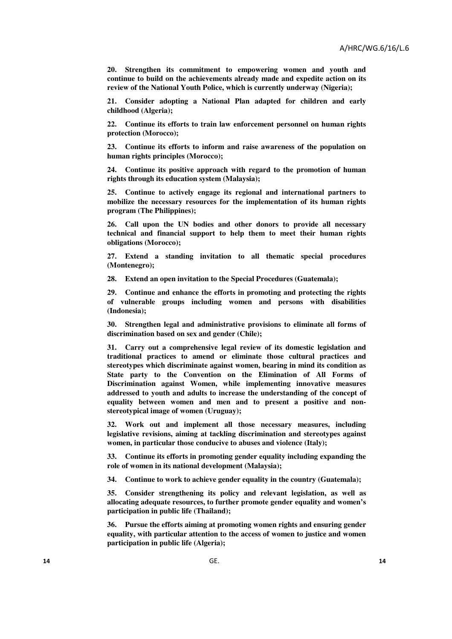**20. Strengthen its commitment to empowering women and youth and continue to build on the achievements already made and expedite action on its review of the National Youth Police, which is currently underway (Nigeria);** 

**21. Consider adopting a National Plan adapted for children and early childhood (Algeria);** 

**22. Continue its efforts to train law enforcement personnel on human rights protection (Morocco);** 

**23. Continue its efforts to inform and raise awareness of the population on human rights principles (Morocco);** 

**24. Continue its positive approach with regard to the promotion of human rights through its education system (Malaysia);** 

**25. Continue to actively engage its regional and international partners to mobilize the necessary resources for the implementation of its human rights program (The Philippines);** 

**26. Call upon the UN bodies and other donors to provide all necessary technical and financial support to help them to meet their human rights obligations (Morocco);** 

**27. Extend a standing invitation to all thematic special procedures (Montenegro);** 

**28. Extend an open invitation to the Special Procedures (Guatemala);** 

**29. Continue and enhance the efforts in promoting and protecting the rights of vulnerable groups including women and persons with disabilities (Indonesia);** 

**30. Strengthen legal and administrative provisions to eliminate all forms of discrimination based on sex and gender (Chile);** 

**31. Carry out a comprehensive legal review of its domestic legislation and traditional practices to amend or eliminate those cultural practices and stereotypes which discriminate against women, bearing in mind its condition as State party to the Convention on the Elimination of All Forms of Discrimination against Women, while implementing innovative measures addressed to youth and adults to increase the understanding of the concept of equality between women and men and to present a positive and nonstereotypical image of women (Uruguay);** 

**32. Work out and implement all those necessary measures, including legislative revisions, aiming at tackling discrimination and stereotypes against women, in particular those conducive to abuses and violence (Italy);** 

**33. Continue its efforts in promoting gender equality including expanding the role of women in its national development (Malaysia);** 

**34. Continue to work to achieve gender equality in the country (Guatemala);** 

**35. Consider strengthening its policy and relevant legislation, as well as allocating adequate resources, to further promote gender equality and women's participation in public life (Thailand);** 

**36. Pursue the efforts aiming at promoting women rights and ensuring gender equality, with particular attention to the access of women to justice and women participation in public life (Algeria);**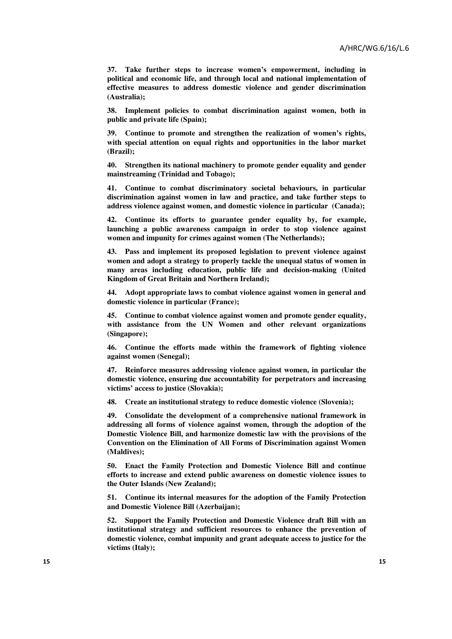**37. Take further steps to increase women's empowerment, including in political and economic life, and through local and national implementation of effective measures to address domestic violence and gender discrimination (Australia);** 

**38. Implement policies to combat discrimination against women, both in public and private life (Spain);** 

**39. Continue to promote and strengthen the realization of women's rights, with special attention on equal rights and opportunities in the labor market (Brazil);** 

**40. Strengthen its national machinery to promote gender equality and gender mainstreaming (Trinidad and Tobago);** 

**41. Continue to combat discriminatory societal behaviours, in particular discrimination against women in law and practice, and take further steps to address violence against women, and domestic violence in particular (Canada);** 

**42. Continue its efforts to guarantee gender equality by, for example, launching a public awareness campaign in order to stop violence against women and impunity for crimes against women (The Netherlands);** 

**43. Pass and implement its proposed legislation to prevent violence against women and adopt a strategy to properly tackle the unequal status of women in many areas including education, public life and decision-making (United Kingdom of Great Britain and Northern Ireland);** 

**44. Adopt appropriate laws to combat violence against women in general and domestic violence in particular (France);** 

**45. Continue to combat violence against women and promote gender equality, with assistance from the UN Women and other relevant organizations (Singapore);** 

**46. Continue the efforts made within the framework of fighting violence against women (Senegal);** 

**47. Reinforce measures addressing violence against women, in particular the domestic violence, ensuring due accountability for perpetrators and increasing victims' access to justice (Slovakia);** 

**48. Create an institutional strategy to reduce domestic violence (Slovenia);** 

**49. Consolidate the development of a comprehensive national framework in addressing all forms of violence against women, through the adoption of the Domestic Violence Bill, and harmonize domestic law with the provisions of the Convention on the Elimination of All Forms of Discrimination against Women (Maldives);** 

**50. Enact the Family Protection and Domestic Violence Bill and continue efforts to increase and extend public awareness on domestic violence issues to the Outer Islands (New Zealand);** 

**51. Continue its internal measures for the adoption of the Family Protection and Domestic Violence Bill (Azerbaijan);** 

**52. Support the Family Protection and Domestic Violence draft Bill with an institutional strategy and sufficient resources to enhance the prevention of domestic violence, combat impunity and grant adequate access to justice for the victims (Italy);**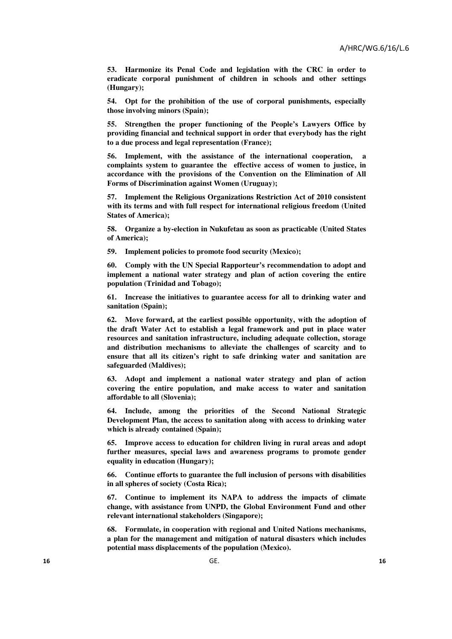**53. Harmonize its Penal Code and legislation with the CRC in order to eradicate corporal punishment of children in schools and other settings (Hungary);** 

**54. Opt for the prohibition of the use of corporal punishments, especially those involving minors (Spain);** 

**55. Strengthen the proper functioning of the People's Lawyers Office by providing financial and technical support in order that everybody has the right to a due process and legal representation (France);**

**56. Implement, with the assistance of the international cooperation, a complaints system to guarantee the effective access of women to justice, in accordance with the provisions of the Convention on the Elimination of All Forms of Discrimination against Women (Uruguay);** 

**57. Implement the Religious Organizations Restriction Act of 2010 consistent with its terms and with full respect for international religious freedom (United States of America);** 

**58. Organize a by-election in Nukufetau as soon as practicable (United States of America);** 

**59. Implement policies to promote food security (Mexico);** 

**60. Comply with the UN Special Rapporteur's recommendation to adopt and implement a national water strategy and plan of action covering the entire population (Trinidad and Tobago);** 

**61. Increase the initiatives to guarantee access for all to drinking water and sanitation (Spain);** 

**62. Move forward, at the earliest possible opportunity, with the adoption of the draft Water Act to establish a legal framework and put in place water resources and sanitation infrastructure, including adequate collection, storage and distribution mechanisms to alleviate the challenges of scarcity and to ensure that all its citizen's right to safe drinking water and sanitation are safeguarded (Maldives);** 

**63. Adopt and implement a national water strategy and plan of action covering the entire population, and make access to water and sanitation affordable to all (Slovenia);** 

**64. Include, among the priorities of the Second National Strategic Development Plan, the access to sanitation along with access to drinking water which is already contained (Spain);** 

**65. Improve access to education for children living in rural areas and adopt further measures, special laws and awareness programs to promote gender equality in education (Hungary);** 

**66. Continue efforts to guarantee the full inclusion of persons with disabilities in all spheres of society (Costa Rica);** 

**67. Continue to implement its NAPA to address the impacts of climate change, with assistance from UNPD, the Global Environment Fund and other relevant international stakeholders (Singapore);** 

**68. Formulate, in cooperation with regional and United Nations mechanisms, a plan for the management and mitigation of natural disasters which includes potential mass displacements of the population (Mexico).**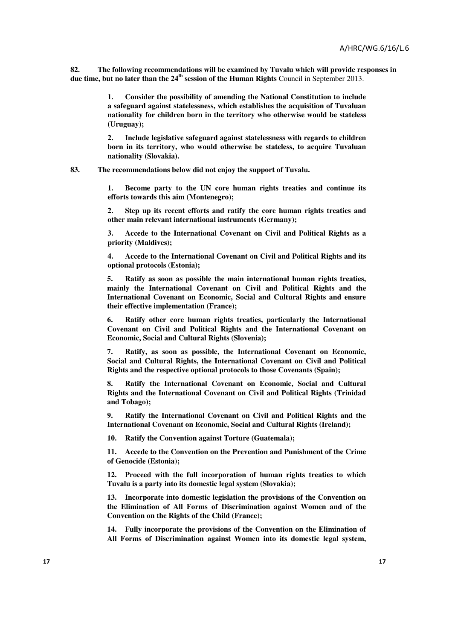**82. The following recommendations will be examined by Tuvalu which will provide responses in due time, but no later than the 24th session of the Human Rights** Council in September 2013.

> **1. Consider the possibility of amending the National Constitution to include a safeguard against statelessness, which establishes the acquisition of Tuvaluan nationality for children born in the territory who otherwise would be stateless (Uruguay);**

> **2. Include legislative safeguard against statelessness with regards to children born in its territory, who would otherwise be stateless, to acquire Tuvaluan nationality (Slovakia).**

**83. The recommendations below did not enjoy the support of Tuvalu.** 

**1. Become party to the UN core human rights treaties and continue its efforts towards this aim (Montenegro);** 

**2. Step up its recent efforts and ratify the core human rights treaties and other main relevant international instruments (Germany);** 

**3. Accede to the International Covenant on Civil and Political Rights as a priority (Maldives);** 

**4. Accede to the International Covenant on Civil and Political Rights and its optional protocols (Estonia);** 

**5. Ratify as soon as possible the main international human rights treaties, mainly the International Covenant on Civil and Political Rights and the International Covenant on Economic, Social and Cultural Rights and ensure their effective implementation (France);** 

**6. Ratify other core human rights treaties, particularly the International Covenant on Civil and Political Rights and the International Covenant on Economic, Social and Cultural Rights (Slovenia);** 

**7. Ratify, as soon as possible, the International Covenant on Economic, Social and Cultural Rights, the International Covenant on Civil and Political Rights and the respective optional protocols to those Covenants (Spain);** 

**8. Ratify the International Covenant on Economic, Social and Cultural Rights and the International Covenant on Civil and Political Rights (Trinidad and Tobago);** 

**9. Ratify the International Covenant on Civil and Political Rights and the International Covenant on Economic, Social and Cultural Rights (Ireland);** 

**10. Ratify the Convention against Torture (Guatemala);** 

**11. Accede to the Convention on the Prevention and Punishment of the Crime of Genocide (Estonia);** 

**12. Proceed with the full incorporation of human rights treaties to which Tuvalu is a party into its domestic legal system (Slovakia);** 

**13. Incorporate into domestic legislation the provisions of the Convention on the Elimination of All Forms of Discrimination against Women and of the Convention on the Rights of the Child (France);** 

**14. Fully incorporate the provisions of the Convention on the Elimination of All Forms of Discrimination against Women into its domestic legal system,**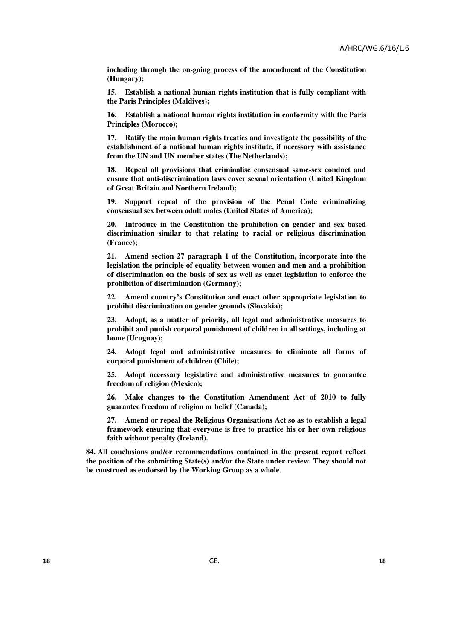**including through the on-going process of the amendment of the Constitution (Hungary);** 

**15. Establish a national human rights institution that is fully compliant with the Paris Principles (Maldives);** 

**16. Establish a national human rights institution in conformity with the Paris Principles (Morocco);** 

**17. Ratify the main human rights treaties and investigate the possibility of the establishment of a national human rights institute, if necessary with assistance from the UN and UN member states (The Netherlands);**

**18. Repeal all provisions that criminalise consensual same-sex conduct and ensure that anti-discrimination laws cover sexual orientation (United Kingdom of Great Britain and Northern Ireland);** 

**19. Support repeal of the provision of the Penal Code criminalizing consensual sex between adult males (United States of America);** 

**20. Introduce in the Constitution the prohibition on gender and sex based discrimination similar to that relating to racial or religious discrimination (France);** 

**21. Amend section 27 paragraph 1 of the Constitution, incorporate into the legislation the principle of equality between women and men and a prohibition of discrimination on the basis of sex as well as enact legislation to enforce the prohibition of discrimination (Germany);** 

**22. Amend country's Constitution and enact other appropriate legislation to prohibit discrimination on gender grounds (Slovakia);** 

**23. Adopt, as a matter of priority, all legal and administrative measures to prohibit and punish corporal punishment of children in all settings, including at home (Uruguay);** 

**24. Adopt legal and administrative measures to eliminate all forms of corporal punishment of children (Chile);** 

**25. Adopt necessary legislative and administrative measures to guarantee freedom of religion (Mexico);** 

**26. Make changes to the Constitution Amendment Act of 2010 to fully guarantee freedom of religion or belief (Canada);** 

**27. Amend or repeal the Religious Organisations Act so as to establish a legal framework ensuring that everyone is free to practice his or her own religious faith without penalty (Ireland).** 

**84. All conclusions and/or recommendations contained in the present report reflect the position of the submitting State(s) and/or the State under review. They should not be construed as endorsed by the Working Group as a whole**.